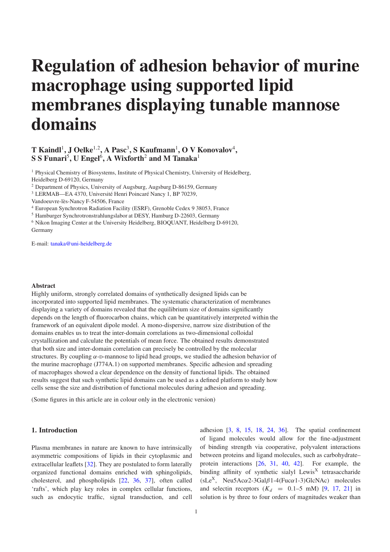# Regulation of adhesion behavior of murine macrophage using supported lipid membranes displaying tunable mannose domains

## T Kaindl<sup>1</sup>, J Oelke<sup>1,2</sup>, A Pasc<sup>3</sup>, S Kaufmann<sup>1</sup>, O V Konovalov<sup>4</sup>, S S Funari<sup>5</sup>, U Engel<sup>6</sup>, A Wixforth<sup>2</sup> and M Tanaka<sup>1</sup>

<sup>1</sup> Physical Chemistry of Biosystems, Institute of Physical Chemistry, University of Heidelberg, Heidelberg D-69120, Germany

<sup>2</sup> Department of Physics, University of Augsburg, Augsburg D-86159, Germany

<sup>3</sup> LERMAB—EA 4370, Université Henri Poincaré Nancy 1, BP 70239,

<sup>4</sup> European Synchrotron Radiation Facility (ESRF), Grenoble Cedex 9 38053, France

<sup>5</sup> Hamburger Synchrotronstrahlungslabor at DESY, Hamburg D-22603, Germany

<sup>6</sup> Nikon Imaging Center at the University Heidelberg, BIOQUANT, Heidelberg D-69120, Germany

E-mail: [tanaka@uni-heidelberg.de](mailto:tanaka@uni-heidelberg.de)

## Abstract

Highly uniform, strongly correlated domains of synthetically designed lipids can be incorporated into supported lipid membranes. The systematic characterization of membranes displaying a variety of domains revealed that the equilibrium size of domains significantly depends on the length of fluorocarbon chains, which can be quantitatively interpreted within the framework of an equivalent dipole model. A mono-dispersive, narrow size distribution of the domains enables us to treat the inter-domain correlations as two-dimensional colloidal crystallization and calculate the potentials of mean force. The obtained results demonstrated that both size and inter-domain correlation can precisely be controlled by the molecular structures. By coupling  $\alpha$ -D-mannose to lipid head groups, we studied the adhesion behavior of the murine macrophage (J774A.1) on supported membranes. Specific adhesion and spreading of macrophages showed a clear dependence on the density of functional lipids. The obtained results suggest that such synthetic lipid domains can be used as a defined platform to study how cells sense the size and distribution of functional molecules during adhesion and spreading.

(Some figures in this article are in colour only in the electronic version)

## 1. Introduction

Plasma membranes in nature are known to have intrinsically asymmetric compositions of lipids in their cytoplasmic and extracellular leaflets [\[32\]](#page-10-0). They are postulated to form laterally organized functional domains enriched with sphingolipids, cholesterol, and phospholipids [\[22,](#page-9-0) [36,](#page-10-1) [37\]](#page-10-2), often called 'rafts', which play key roles in complex cellular functions, such as endocytic traffic, signal transduction, and cell

adhesion [\[3,](#page-9-1) [8,](#page-9-2) [15,](#page-9-3) [18,](#page-9-4) [24,](#page-9-5) [36\]](#page-10-1). The spatial confinement of ligand molecules would allow for the fine-adjustment of binding strength via cooperative, polyvalent interactions between proteins and ligand molecules, such as carbohydrate– protein interactions [\[26,](#page-9-6) [31,](#page-10-3) [40,](#page-10-4) [42\]](#page-10-5). For example, the binding affinity of synthetic sialyl Lewis<sup>X</sup> tetrasaccharide (sLe<sup>X</sup>, Neu5Ac $\alpha$ 2-3Gal $\beta$ 1-4(Fuc $\alpha$ 1-3)GlcNAc) molecules and selectin receptors  $(K_d = 0.1-5$  mM) [\[9,](#page-9-7) [17,](#page-9-8) [21\]](#page-9-9) in solution is by three to four orders of magnitudes weaker than

Vandoeuvre-lès-Nancy F-54506, France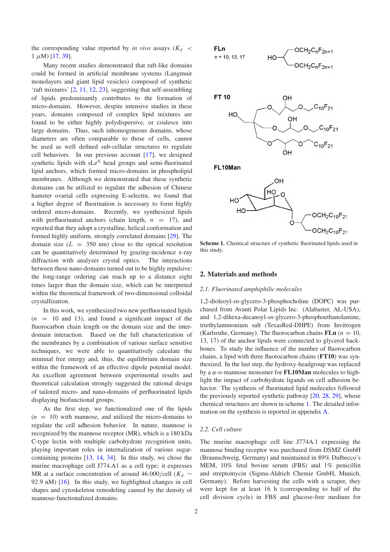the corresponding value reported by *in vivo* assays  $(K_d$  $1 \mu M$ ) [\[17,](#page-9-8) [39\]](#page-10-6).

Many recent studies demonstrated that raft-like domains could be formed in artificial membrane systems (Langmuir monolayers and giant lipid vesicles) composed of synthetic 'raft mixtures' [\[2,](#page-9-10) [11,](#page-9-11) [12,](#page-9-12) [23\]](#page-9-13), suggesting that self-assembling of lipids predominantly contributes to the formation of micro-domains. However, despite intensive studies in these years, domains composed of complex lipid mixtures are found to be either highly polydispersive, or coalesce into large domains. Thus, such inhomogeneous domains, whose diameters are often comparable to those of cells, cannot be used as well defined sub-cellular structures to regulate cell behaviors. In our previous account [\[17\]](#page-9-8), we designed synthetic lipids with sLe<sup>X</sup> head groups and semi-fluorinated lipid anchors, which formed micro-domains in phospholipid membranes. Although we demonstrated that these synthetic domains can be utilized to regulate the adhesion of Chinese hamster ovarial cells expressing E-selectin, we found that a higher degree of fluorination is necessary to form highly ordered micro-domains. Recently, we synthesized lipids with perfluorinated anchors (chain length,  $n = 17$ ), and reported that they adopt a crystalline, helical conformation and formed highly uniform, strongly correlated domains [\[29\]](#page-9-14). The domain size  $(L = 350 \text{ nm})$  close to the optical resolution can be quantitatively determined by grazing-incidence x-ray diffraction with analyzer crystal optics. The interactions between these nano-domains turned out to be highly repulsive: the long-range ordering can reach up to a distance eight times larger than the domain size, which can be interpreted within the theoretical framework of two-dimensional colloidal crystallization.

In this work, we synthesized two new perfluorinated lipids  $(n = 10$  and 13), and found a significant impact of the fluorocarbon chain length on the domain size and the interdomain interaction. Based on the full characterization of the membranes by a combination of various surface sensitive techniques, we were able to quantitatively calculate the minimal free energy and, thus, the equilibrium domain size within the framework of an effective dipole potential model. An excellent agreement between experimental results and theoretical calculation strongly suggested the rational design of tailored micro- and nano-domains of perfluorinated lipids displaying biofunctional groups.

As the first step, we functionalized one of the lipids  $(n = 10)$  with mannose, and utilized the micro-domains to regulate the cell adhesion behavior. In nature, mannose is recognized by the mannose receptor (MR), which is a 180 kDa C-type lectin with multiple carbohydrate recognition units, playing important roles in internalization of various sugarcontaining proteins [\[13,](#page-9-15) [14,](#page-9-16) [34\]](#page-10-7). In this study, we chose the murine macrophage cell J774.A1 as a cell type; it expresses MR at a surface concentration of around 46.000/cell ( $K_d \sim$ 92.9 nM) [\[16\]](#page-9-17). In this study, we highlighted changes in cell shapes and cytoskeleton remodeling caused by the density of mannose-functionalized domains.

<span id="page-1-0"></span>

Scheme 1. Chemical structure of synthetic fluorinated lipids used in this study.

#### 2. Materials and methods

#### *2.1. Fluorinated amphiphilic molecules*

1,2-dioleoyl-*sn*-glycero-3-phosphocholine (DOPC) was purchased from Avanti Polar Lipids Inc. (Alabaster, AL-USA), and 1,2-dihexa-decanoyl-*sn*-glycero-3-phosphoethanolamine, triethylammonium salt (TexasRed-DHPE) from Invitrogen (Karlsruhe, Germany). The fluorocarbon chains  $FLn (n = 10)$ , 13, 17) of the anchor lipids were connected to glycerol backbones. To study the influence of the number of fluorocarbon chains, a lipid with three fluorocarbon chains (FT10) was synthesized. In the last step, the hydroxy-headgroup was replaced by a  $\alpha$ -D-mannose monomer for **FL10Man** molecules to highlight the impact of carbohydrate ligands on cell adhesion behavior. The synthesis of fluorinated lipid molecules followed the previously reported synthetic pathway [\[20,](#page-9-18) [28,](#page-9-19) [29\]](#page-9-14), whose chemical structures are shown in scheme [1.](#page-1-0) The detailed information on the synthesis is reported in appendix A.

#### *2.2. Cell culture*

The murine macrophage cell line J774A.1 expressing the mannose binding receptor was purchased from DSMZ GmbH (Braunschweig, Germany) and maintained in 89% Dulbecco's MEM, 10% fetal bovine serum (FBS) and 1% penicillin and streptomycin (Sigma-Aldrich Chemie GmbH, Munich, Germany). Before harvesting the cells with a scraper, they were kept for at least 16 h (corresponding to half of the cell division cycle) in FBS and glucose-free medium for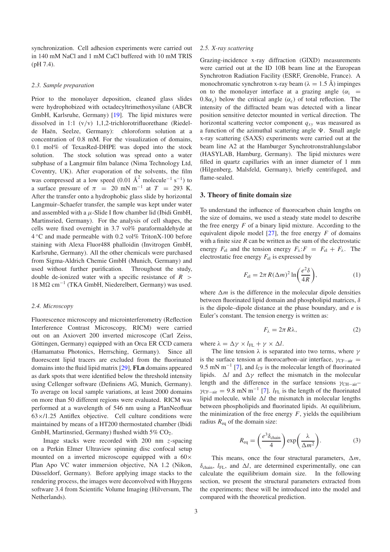synchronization. Cell adhesion experiments were carried out in 140 mM NaCl and 1 mM CaCl buffered with 10 mM TRIS (pH 7.4).

#### *2.3. Sample preparation*

Prior to the monolayer deposition, cleaned glass slides were hydrophobized with octadecyltrimethoxysilane (ABCR GmbH, Karlsruhe, Germany) [\[19\]](#page-9-20). The lipid mixtures were dissolved in 1:1 (v/v) 1,1,2-trichlorotrifluorethane (Riedelde Haën, Seelze, Germany): chloroform solution at a concentration of 0.8 mM. For the visualization of domains, 0.1 mol% of TexasRed-DHPE was doped into the stock solution. The stock solution was spread onto a water subphase of a Langmuir film balance (Nima Technology Ltd, Coventry, UK). After evaporation of the solvents, the film was compressed at a low speed  $(0.01 \text{ Å}^2 \text{ molecule}^{-1} \text{ s}^{-1})$  to a surface pressure of  $\pi$  = 20 mN m<sup>-1</sup> at  $T$  = 293 K. After the transfer onto a hydrophobic glass slide by horizontal Langmuir–Schaefer transfer, the sample was kept under water and assembled with a  $\mu$ -Slide I flow chamber lid (Ibidi GmbH, Martinsried, Germany). For the analysis of cell shapes, the cells were fixed overnight in 3.7 vol% paraformaldehyde at 4 ◦C and made permeable with 0.2 vol% TritonX-100 before staining with Alexa Fluor488 phalloidin (Invitrogen GmbH, Karlsruhe, Germany). All the other chemicals were purchased from Sigma-Aldrich Chemie GmbH (Munich, Germany) and used without further purification. Throughout the study, double de-ionized water with a specific resistance of *R* >  $18$  MΩ cm<sup>-1</sup> (TKA GmbH, Niederelbert, Germany) was used.

#### *2.4. Microscopy*

Fluorescence microscopy and microinterferometry (Reflection Interference Contrast Microscopy, RICM) were carried out on an Axiovert 200 inverted microscope (Carl Zeiss, Göttingen, Germany) equipped with an Orca ER CCD camera (Hamamatsu Photonics, Herrsching, Germany). Since all fluorescent lipid tracers are excluded from the fluorinated domains into the fluid lipid matrix [\[29\]](#page-9-14), FLn domains appeared as dark spots that were identified below the threshold intensity using Cellenger software (Definiens AG, Munich, Germany). To average on local sample variations, at least 2000 domains on more than 50 different regions were evaluated. RICM was performed at a wavelength of 546 nm using a PlanNeofluar  $63\times/1.25$  Antiflex objective. Cell culture conditions were maintained by means of a HT200 thermostated chamber (Ibidi GmbH, Martinsried, Germany) flushed width  $5\%$  CO<sub>2</sub>.

Image stacks were recorded with 200 nm *z*-spacing on a Perkin Elmer Ultraview spinning disc confocal setup mounted on a inverted microscope equipped with a  $60\times$ Plan Apo VC water immersion objective, NA 1.2 (Nikon, Düsseldorf, Germany). Before applying image stacks to the rendering process, the images were deconvolved with Huygens software 3.4 from Scientific Volume Imaging (Hilversum, The Netherlands).

## *2.5. X-ray scattering*

Grazing-incidence x-ray diffraction (GIXD) measurements were carried out at the ID 10B beam line at the European Synchrotron Radiation Facility (ESRF, Grenoble, France). A monochromatic synchrotron x-ray beam ( $\lambda = 1.5 \text{ Å}$ ) impinges on to the monolayer interface at a grazing angle  $(\alpha_i$  = 0.8 $\alpha_c$ ) below the critical angle  $(\alpha_c)$  of total reflection. The intensity of the diffracted beam was detected with a linear position sensitive detector mounted in vertical direction. The horizontal scattering vector component *qxy* was measured as a function of the azimuthal scattering angle  $\Psi$ . Small angle x-ray scattering (SAXS) experiments were carried out at the beam line A2 at the Hamburger Synchrotronstrahlungslabor (HASYLAB, Hamburg, Germany). The lipid mixtures were filled in quartz capillaries with an inner diameter of 1 mm (Hilgenberg, Malsfeld, Germany), briefly centrifuged, and flame-sealed.

#### 3. Theory of finite domain size

To understand the influence of fluorocarbon chain lengths on the size of domains, we used a steady state model to describe the free energy  $F$  of a binary lipid mixture. According to the equivalent dipole model  $[27]$ , the free energy  $F$  of domains with a finite size *R* can be written as the sum of the electrostatic energy  $F_{el}$  and the tension energy  $F_{\lambda}$ :  $F = F_{el} + F_{\lambda}$ . The electrostatic free energy *F*el is expressed by

<span id="page-2-1"></span>
$$
F_{\rm el} = 2\pi R (\Delta m)^2 \ln \left(\frac{e^2 \delta}{4R}\right),\tag{1}
$$

where  $\Delta m$  is the difference in the molecular dipole densities between fluorinated lipid domain and phospholipid matrices, δ is the dipole–dipole distance at the phase boundary, and *e* is Euler's constant. The tension energy is written as:

$$
F_{\lambda} = 2\pi R\lambda, \tag{2}
$$

where  $\lambda = \Delta \gamma \times l_{FL} + \gamma \times \Delta l$ .

The line tension  $\lambda$  is separated into two terms, where  $\gamma$ is the surface tension at fluorocarbon–air interface,  $\gamma_{CF-air}$  = 9.5 mN m<sup>-1</sup> [\[7\]](#page-9-22), and  $l_{CF}$  is the molecular length of fluorinated lipids.  $\Delta l$  and  $\Delta \gamma$  reflect the mismatch in the molecular length and the difference in the surface tensions  $\gamma_{\text{CH-air}}$ –  $\gamma_{CF-air} = 9.8 \text{ mN m}^{-1}$  [\[7\]](#page-9-22). *l*<sub>FL</sub> is the length of the fluorinated lipid molecule, while  $\Delta l$  the mismatch in molecular lengths between phospholipids and fluorinated lipids. At equilibrium, the minimization of the free energy  $F$ , yields the equilibrium radius  $R_{eq}$  of the domain size:

<span id="page-2-0"></span>
$$
R_{\text{eq}} = \left(\frac{e^3 \delta_{\text{chain}}}{4}\right) \exp\left(\frac{\lambda}{\Delta m^2}\right). \tag{3}
$$

This means, once the four structural parameters,  $\Delta m$ ,  $\delta_{\text{chain}}$ ,  $l_{\text{FL}}$ , and  $\Delta l$ , are determined experimentally, one can calculate the equilibrium domain size. In the following section, we present the structural parameters extracted from the experiments; these will be introduced into the model and compared with the theoretical prediction.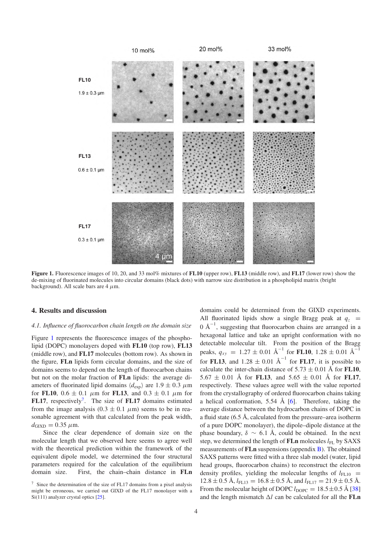<span id="page-3-0"></span>

Figure 1. Fluorescence images of 10, 20, and 33 mol% mixtures of FL10 (upper row), FL13 (middle row), and FL17 (lower row) show the de-mixing of fluorinated molecules into circular domains (black dots) with narrow size distribution in a phospholipid matrix (bright background). All scale bars are  $4 \mu m$ .

#### 4. Results and discussion

#### *4.1. Influence of fluorocarbon chain length on the domain size*

Figure [1](#page-3-0) represents the fluorescence images of the phospholipid (DOPC) monolayers doped with FL10 (top row), FL13 (middle row), and FL17 molecules (bottom row). As shown in the figure, FLn lipids form circular domains, and the size of domains seems to depend on the length of fluorocarbon chains but not on the molar fraction of FLn lipids: the average diameters of fluorinated lipid domains  $\langle d_{\text{exp}} \rangle$  are  $1.9 \pm 0.3 \mu$ m for FL10,  $0.6 \pm 0.1$   $\mu$ m for FL13, and  $0.3 \pm 0.1$   $\mu$ m for FL1[7](#page-3-1), respectively<sup>7</sup>. The size of FL17 domains estimated from the image analysis  $(0.3 \pm 0.1 \mu m)$  seems to be in reasonable agreement with that calculated from the peak width,  $d_{\text{GIND}} = 0.35 \mu \text{m}$ .

<span id="page-3-1"></span>Since the clear dependence of domain size on the molecular length that we observed here seems to agree well with the theoretical prediction within the framework of the equivalent dipole model, we determined the four structural parameters required for the calculation of the equilibrium domain size. First, the chain–chain distance in FLn

domains could be determined from the GIXD experiments. All fluorinated lipids show a single Bragg peak at  $q_z$  $0 \text{ Å}^{-1}$ , suggesting that fluorocarbon chains are arranged in a hexagonal lattice and take an upright conformation with no detectable molecular tilt. From the position of the Bragg peaks,  $q_{xy}$  = 1.27 ± 0.01 Å<sup>-1</sup> for **FL10**, 1.28 ± 0.01 Å<sup>-1</sup> for **FL13**, and  $1.28 \pm 0.01 \text{ Å}^{-1}$  for **FL17**, it is possible to calculate the inter-chain distance of  $5.73 \pm 0.01$  Å for **FL10**,  $5.67 \pm 0.01$  Å for FL13, and  $5.65 \pm 0.01$  Å for FL17, respectively. These values agree well with the value reported from the crystallography of ordered fluorocarbon chains taking a helical conformation, 5.54 Å  $[6]$ . Therefore, taking the average distance between the hydrocarbon chains of DOPC in a fluid state  $(6.5 \text{ Å}, \text{calculated from the pressure–area isotherm})$ of a pure DOPC monolayer), the dipole–dipole distance at the phase boundary,  $\delta \sim 6.1$  Å, could be obtained. In the next step, we determined the length of **FLn** molecules  $l_{\text{FL}}$  by SAXS measurements of FLn suspensions (appendix B). The obtained SAXS patterns were fitted with a three slab model (water, lipid head groups, fluorocarbon chains) to reconstruct the electron density profiles, yielding the molecular lengths of  $l_{\text{FL10}}$  =  $12.8 \pm 0.5$  Å,  $l_{\text{FL13}} = 16.8 \pm 0.5$  Å, and  $l_{\text{FL17}} = 21.9 \pm 0.5$  Å. From the molecular height of DOPC  $l_{\text{DOPC}} = 18.5 \pm 0.5 \text{ Å}$  [\[38\]](#page-10-8) and the length mismatch  $\Delta l$  can be calculated for all the **FLn** 

<sup>7</sup> Since the determination of the size of FL17 domains from a pixel analysis might be erroneous, we carried out GIXD of the FL17 monolayer with a Si(111) analyzer crystal optics [\[25\]](#page-9-23).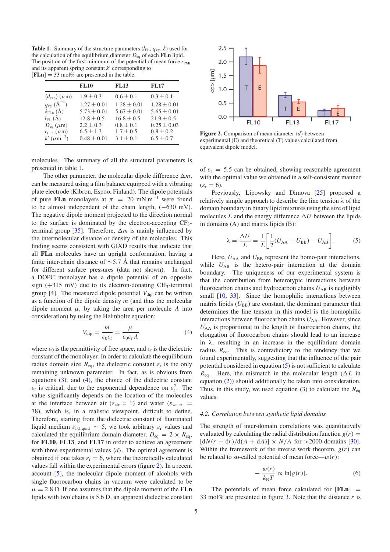<span id="page-4-0"></span>**Table 1.** Summary of the structure parameters  $(l_{FL}, q_{xy}, \delta)$  used for the calculation of the equilibrium diameter  $D_{eq}$  of each FLn lipid. The position of the first minimum of the potential of mean force  $r_{\text{PMF}}$ and its apparent spring constant *k* corresponding to  $[FLn] = 33 \text{ mol\%}$  are presented in the table.

|                                         | <b>FL10</b>     | <b>FL13</b>     | <b>FL17</b>     |
|-----------------------------------------|-----------------|-----------------|-----------------|
| $\langle d_{\exp} \rangle$ ( $\mu$ m)   | $1.9 \pm 0.3$   | $0.6 \pm 0.1$   | $0.3 \pm 0.1$   |
| $q_{xy}$ ( $A^{-1}$ )                   | $1.27 \pm 0.01$ | $1.28 \pm 0.01$ | $1.28 \pm 0.01$ |
| $\delta_{FLn}$ (Å)                      | $5.73 \pm 0.01$ | $5.67 \pm 0.01$ | $5.65 \pm 0.01$ |
| $l_{\text{FL}}(\check{A})$              | $12.8 \pm 0.5$  | $16.8 \pm 0.5$  | $21.9 \pm 0.5$  |
| $D_{\text{eq}}\left(\mu\text{m}\right)$ | $2.2 \pm 0.3$   | $0.8 \pm 0.1$   | $0.25 \pm 0.03$ |
| $r_{FLn}(\mu m)$                        | $6.5 \pm 1.3$   | $1.7 \pm 0.5$   | $0.8 \pm 0.2$   |
| $k'$ ( $\mu$ m <sup>-2</sup> )          | $0.48 \pm 0.01$ | $3.1 \pm 0.1$   | $6.5 \pm 0.7$   |

molecules. The summary of all the structural parameters is presented in table [1.](#page-4-0)

The other parameter, the molecular dipole difference  $\Delta m$ , can be measured using a film balance equipped with a vibrating plate electrode (Kibron, Espoo, Finland). The dipole potentials of pure FLn monolayers at  $\pi$  = 20 mN m<sup>-1</sup> were found to be almost independent of the chain length, (−630 mV). The negative dipole moment projected to the direction normal to the surface is dominated by the electron-accepting  $CF_3$ -terminal group [\[35\]](#page-10-9). Therefore,  $\Delta m$  is mainly influenced by the intermolecular distance or density of the molecules. This finding seems consistent with GIXD results that indicate that all FLn molecules have an upright conformation, having a finite inter-chain distance of  $\sim$ 5.7 Å that remains unchanged for different surface pressures (data not shown). In fact, a DOPC monolayer has a dipole potential of an opposite sign ( $+315$  mV) due to its electron-donating CH<sub>3</sub>-terminal group  $[4]$ . The measured dipole potential  $V_{\text{dip}}$  can be written as a function of the dipole density *m* (and thus the molecular dipole moment  $\mu$ , by taking the area per molecule *A* into consideration) by using the Helmholtz equation:

<span id="page-4-1"></span>
$$
V_{\rm dip} = \frac{m}{\varepsilon_0 \varepsilon_{\rm r}} = \frac{\mu}{\varepsilon_0 \varepsilon_r A},\tag{4}
$$

where  $\varepsilon_0$  is the permittivity of free space, and  $\varepsilon_r$  is the dielectric constant of the monolayer. In order to calculate the equilibrium radius domain size  $R_{eq}$ , the dielectric constant  $\varepsilon_r$  is the only remaining unknown parameter. In fact, as is obvious from equations [\(3\)](#page-2-0), and [\(4\)](#page-4-1), the choice of the dielectric constant  $\varepsilon_r$  is critical, due to the exponential dependence on  $\varepsilon_r^2$ . The value significantly depends on the location of the molecules at the interface between air ( $\varepsilon_{air} = 1$ ) and water ( $\varepsilon_{water}$ ) 78), which is, in a realistic viewpoint, difficult to define. Therefore, starting from the dielectric constant of fluorinated liquid medium  $\epsilon_{\text{F, liquid}} \sim 5$ , we took arbitrary  $\epsilon_{\text{r}}$  values and calculated the equilibrium domain diameter,  $D_{eq} = 2 \times R_{eq}$ , for FL10, FL13, and FL17 in order to achieve an agreement with three experimental values  $\langle d \rangle$ . The optimal agreement is obtained if one takes  $\varepsilon_r = 6$ , where the theoretically calculated values fall within the experimental errors (figure [2\)](#page-4-2). In a recent account [\[5\]](#page-9-26), the molecular dipole moment of alcohols with single fluorocarbon chains in vacuum were calculated to be  $\mu = 2.8$  D. If one assumes that the dipole moment of the **FLn** lipids with two chains is 5.6 D, an apparent dielectric constant

<span id="page-4-2"></span>

Figure 2. Comparison of mean diameter  $\langle d \rangle$  between experimental (E) and theoretical (T) values calculated from equivalent dipole model.

of  $\varepsilon_r = 5.5$  can be obtained, showing reasonable agreement with the optimal value we obtained in a self-consistent manner  $(\varepsilon_{\rm r} = 6)$ .

<span id="page-4-3"></span>Previously, Lipowsky and Dimova [\[25\]](#page-9-23) proposed a relatively simple approach to describe the line tension  $\lambda$  of the domain boundary in binary lipid mixtures using the size of lipid molecules  $L$  and the energy difference  $\Delta U$  between the lipids in domains (A) and matrix lipids (B):

$$
\lambda = \frac{\Delta U}{L} = \frac{1}{L} \bigg[ \frac{1}{2} (U_{AA} + U_{BB}) - U_{AB} \bigg].
$$
 (5)

Here,  $U_{AA}$  and  $U_{BB}$  represent the homo-pair interactions, while  $U_{AB}$  is the hetero-pair interaction at the domain boundary. The uniqueness of our experimental system is that the contribution from heterotypic interactions between fluorocarbon chains and hydrocarbon chains  $U_{AB}$  is negligibly small [\[10,](#page-9-27) [33\]](#page-10-10). Since the homophilic interactions between matrix lipids  $(U_{BB})$  are constant, the dominant parameter that determines the line tension in this model is the homophilic interactions between fluorocarbon chains  $U_{AA}$ . However, since  $U_{AA}$  is proportional to the length of fluorocarbon chains, the elongation of fluorocarbon chains should lead to an increase in  $\lambda$ , resulting in an increase in the equilibrium domain radius  $R_{eq}$ . This is contradictory to the tendency that we found experimentally, suggesting that the influence of the pair potential considered in equation [\(5\)](#page-4-3) is not sufficient to calculate  $R_{eq}$ . Here, the mismatch in the molecular length ( $\Delta L$  in equation [\(2\)](#page-2-1)) should additionally be taken into consideration. Thus, in this study, we used equation  $(3)$  to calculate the  $R_{eq}$ values.

## *4.2. Correlation between synthetic lipid domains*

The strength of inter-domain correlations was quantitatively evaluated by calculating the radial distribution function  $g(r)$  =  $[dN(r + dr)/d(A + dA)] \times N/A$  for >2000 domains [\[30\]](#page-9-28). Within the framework of the inverse work theorem,  $g(r)$  can be related to so-called potential of mean force— $w(r)$ :

$$
-\frac{w(r)}{k_{\rm B}T} \propto \ln[g(r)].\tag{6}
$$

The potentials of mean force calculated for  $[FLn]$  = 33 mol% are presented in figure [3.](#page-5-0) Note that the distance *r* is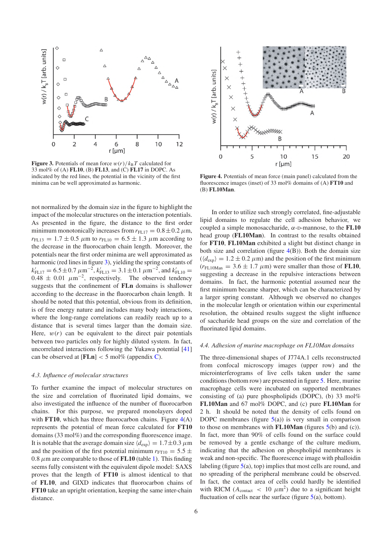<span id="page-5-0"></span>

**Figure 3.** Potentials of mean force  $w(r)/k_BT$  calculated for 33 mol% of (A) FL10, (B) FL13, and (C) FL17 in DOPC. As indicated by the red lines, the potential in the vicinity of the first minima can be well approximated as harmonic.

not normalized by the domain size in the figure to highlight the impact of the molecular structures on the interaction potentials. As presented in the figure, the distance to the first order minimum monotonically increases from  $r_{\text{FL17}} = 0.8 \pm 0.2 \,\mu \text{m}$ ,  $r_{\text{FL13}} = 1.7 \pm 0.5 \ \mu \text{m}$  to  $r_{\text{FL10}} = 6.5 \pm 1.3 \ \mu \text{m}$  according to the decrease in the fluorocarbon chain length. Moreover, the potentials near the first order minima are well approximated as harmonic (red lines in figure [3\)](#page-5-0), yielding the spring constants of  $k'_{\text{FL17}} = 6.5 \pm 0.7 \ \mu \text{m}^{-2}$ ,  $k'_{\text{FL13}} = 3.1 \pm 0.1 \ \mu \text{m}^{-2}$ , and  $k'_{\text{FL10}} =$  $0.48 \pm 0.01 \ \mu m^{-2}$ , respectively. The observed tendency suggests that the confinement of FLn domains is shallower according to the decrease in the fluorocarbon chain length. It should be noted that this potential, obvious from its definition, is of free energy nature and includes many body interactions, where the long-range correlations can readily reach up to a distance that is several times larger than the domain size. Here,  $w(r)$  can be equivalent to the direct pair potentials between two particles only for highly diluted system. In fact, uncorrelated interactions following the Yukawa potential [\[41\]](#page-10-11) can be observed at  $[FLn] < 5$  mol% (appendix C).

#### *4.3. Influence of molecular structures*

To further examine the impact of molecular structures on the size and correlation of fluorinated lipid domains, we also investigated the influence of the number of fluorocarbon chains. For this purpose, we prepared monolayers doped with **FT10**, which has three fluorocarbon chains. Figure  $4(A)$  $4(A)$ represents the potential of mean force calculated for FT10 domains (33 mol%) and the corresponding fluorescence image. It is notable that the average domain size  $\langle d_{\text{exp}} \rangle = 1.7 \pm 0.3 \,\mu \text{m}$ and the position of the first potential minimum  $r_{\text{FT10}} = 5.5 \pm 10^{-10}$ 0.8  $\mu$ m are comparable to those of **FL10** (table [1\)](#page-4-0). This finding seems fully consistent with the equivalent dipole model: SAXS proves that the length of FT10 is almost identical to that of FL10, and GIXD indicates that fluorocarbon chains of FT10 take an upright orientation, keeping the same inter-chain distance.

<span id="page-5-1"></span>

Figure 4. Potentials of mean force (main panel) calculated from the fluorescence images (inset) of 33 mol% domains of (A) FT10 and (B) FL10Man.

In order to utilize such strongly correlated, fine-adjustable lipid domains to regulate the cell adhesion behavior, we coupled a simple monosaccharide,  $\alpha$ -D-mannose, to the **FL10** head group (FL10Man). In contrast to the results obtained for FT10, FL10Man exhibited a slight but distinct change in both size and correlation (figure  $4(B)$  $4(B)$ ). Both the domain size  $(\langle d_{\text{exp}} \rangle = 1.2 \pm 0.2 \,\mu\text{m})$  and the position of the first minimum  $(r_{\text{FL10Man}} = 3.6 \pm 1.7 \,\mu\text{m})$  were smaller than those of **FL10**, suggesting a decrease in the repulsive interactions between domains. In fact, the harmonic potential assumed near the first minimum became sharper, which can be characterized by a larger spring constant. Although we observed no changes in the molecular length or orientation within our experimental resolution, the obtained results suggest the slight influence of saccharide head groups on the size and correlation of the fluorinated lipid domains.

#### *4.4. Adhesion of murine macrophage on FL10Man domains*

The three-dimensional shapes of J774A.1 cells reconstructed from confocal microscopy images (upper row) and the microinterferograms of live cells taken under the same conditions(bottom row) are presented in figure [5.](#page-6-0) Here, murine macrophage cells were incubated on supported membranes consisting of (a) pure phospholipids (DOPC), (b) 33 mol% FL10Man and 67 mol% DOPC, and (c) pure FL10Man for 2 h. It should be noted that the density of cells found on DOPC membranes (figure  $5(a)$  $5(a)$ ) is very small in comparison to those on membranes with **FL10Man** (figures  $5(b)$  $5(b)$  and (c)). In fact, more than 90% of cells found on the surface could be removed by a gentle exchange of the culture medium, indicating that the adhesion on phospholipid membranes is weak and non-specific. The fluorescence image with phalloidin labeling (figure  $5(a)$  $5(a)$ , top) implies that most cells are round, and no spreading of the peripheral membrane could be observed. In fact, the contact area of cells could hardly be identified with RICM ( $A_{\text{contact}}$  < 10  $\mu$ m<sup>2</sup>) due to a significant height fluctuation of cells near the surface (figure  $5(a)$  $5(a)$ , bottom).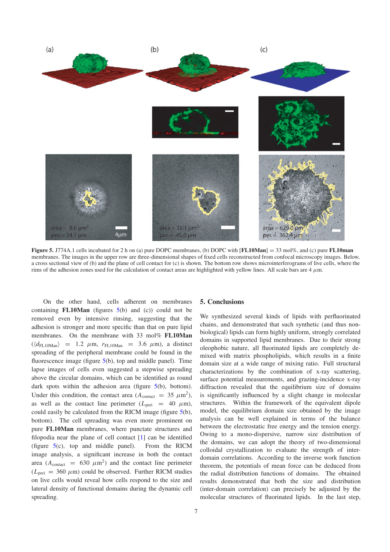<span id="page-6-0"></span>

Figure 5. J774A.1 cells incubated for 2 h on (a) pure DOPC membranes, (b) DOPC with  $[FL10Man] = 33 \text{ mol\%}$ , and (c) pure FL10man membranes. The images in the upper row are three-dimensional shapes of fixed cells reconstructed from confocal microscopy images. Below, a cross sectional view of (b) and the plane of cell contact for (c) is shown. The bottom row shows microinterferograms of live cells, where the rims of the adhesion zones used for the calculation of contact areas are highlighted with yellow lines. All scale bars are  $4 \mu$ m.

On the other hand, cells adherent on membranes containing **FL10Man** (figures  $5(b)$  $5(b)$  and (c)) could not be removed even by intensive rinsing, suggesting that the adhesion is stronger and more specific than that on pure lipid membranes. On the membrane with 33 mol% FL10Man  $(\langle d_{\text{FL10Man}} \rangle$  = 1.2  $\mu$ m,  $r_{\text{FL10Man}}$  = 3.6  $\mu$ m), a distinct spreading of the peripheral membrane could be found in the fluorescence image (figure [5\(](#page-6-0)b), top and middle panel). Time lapse images of cells even suggested a stepwise spreading above the circular domains, which can be identified as round dark spots within the adhesion area (figure  $5(b)$  $5(b)$ , bottom). Under this condition, the contact area  $(A_{\text{contact}} = 35 \ \mu \text{m}^2)$ , as well as the contact line perimeter  $(L_{\text{peri}} = 40 \mu \text{m})$ , could easily be calculated from the RICM image (figure [5\(](#page-6-0)b), bottom). The cell spreading was even more prominent on pure FL10Man membranes, where punctate structures and filopodia near the plane of cell contact [\[1\]](#page-9-29) can be identified (figure [5\(](#page-6-0)c), top and middle panel). From the RICM image analysis, a significant increase in both the contact area  $(A_{\text{contact}} = 630 \ \mu \text{m}^2)$  and the contact line perimeter  $(L<sub>peri</sub> = 360 \mu m)$  could be observed. Further RICM studies on live cells would reveal how cells respond to the size and lateral density of functional domains during the dynamic cell spreading.

#### 5. Conclusions

We synthesized several kinds of lipids with perfluorinated chains, and demonstrated that such synthetic (and thus nonbiological) lipids can form highly uniform, strongly correlated domains in supported lipid membranes. Due to their strong oleophobic nature, all fluorinated lipids are completely demixed with matrix phospholipids, which results in a finite domain size at a wide range of mixing ratio. Full structural characterizations by the combination of x-ray scattering, surface potential measurements, and grazing-incidence x-ray diffraction revealed that the equilibrium size of domains is significantly influenced by a slight change in molecular structures. Within the framework of the equivalent dipole model, the equilibrium domain size obtained by the image analysis can be well explained in terms of the balance between the electrostatic free energy and the tension energy. Owing to a mono-dispersive, narrow size distribution of the domains, we can adopt the theory of two-dimensional colloidal crystallization to evaluate the strength of interdomain correlations. According to the inverse work function theorem, the potentials of mean force can be deduced from the radial distribution functions of domains. The obtained results demonstrated that both the size and distribution (inter-domain correlation) can precisely be adjusted by the molecular structures of fluorinated lipids. In the last step,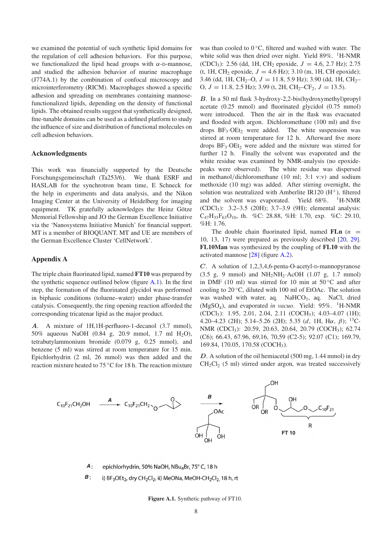we examined the potential of such synthetic lipid domains for the regulation of cell adhesion behaviors. For this purpose, we functionalized the lipid head groups with  $\alpha$ -D-mannose, and studied the adhesion behavior of murine macrophage (J774A.1) by the combination of confocal microscopy and microinterferometry (RICM). Macrophages showed a specific adhesion and spreading on membranes containing mannosefunctionalized lipids, depending on the density of functional lipids. The obtained results suggest that synthetically designed, fine-tunable domains can be used as a defined platform to study the influence of size and distribution of functional molecules on cell adhesion behaviors.

## Acknowledgments

This work was financially supported by the Deutsche Forschungsgemeinschaft (Ta253/6). We thank ESRF and HASLAB for the synchrotron beam time, E Schneck for the help in experiments and data analysis, and the Nikon Imaging Center at the University of Heidelberg for imaging equipment. TK gratefully acknowledges the Heinz Götze Memorial Fellowship and JO the German Excellence Initiative via the 'Nanosystems Initiative Munich' for financial support. MT is a member of BIOQUANT. MT and UE are members of the German Excellence Cluster 'CellNetwork'.

#### Appendix A

The triple chain fluorinated lipid, named FT10 was prepared by the synthetic sequence outlined below (figure [A.1\)](#page-7-0). In the first step, the formation of the fluorinated glycidol was performed in biphasic conditions (toluene–water) under phase-transfer catalysis. Consequently, the ring opening reaction afforded the corresponding tricatenar lipid as the major product.

<span id="page-7-0"></span>*A*. A mixture of 1H,1H-perfluoro-1-decanol (3.7 mmol), 50% aqueous NaOH (0.84 g, 20.9 mmol, 1.7 ml H2O), tetrabutylammonium bromide (0.079 g, 0.25 mmol), and benzene (5 ml) was stirred at room temperature for 15 min. Epichlorhydrin (2 ml, 26 mmol) was then added and the reaction mixture heated to 75 ◦C for 18 h. The reaction mixture

was than cooled to 0 °C, filtered and washed with water. The white solid was then dried over night. Yield 89%. <sup>1</sup>H-NMR (CDCl3): 2.56 (dd, 1H, CH<sup>2</sup> epoxide, *J* = 4.6, 2.7 Hz); 2.75 (t, 1H, CH<sub>2</sub> epoxide,  $J = 4.6$  Hz); 3.10 (m, 1H, CH epoxide); 3.46 (dd, 1H, CH<sub>2</sub>-O,  $J = 11.8, 5.9$  Hz); 3.90 (dd, 1H, CH<sub>2</sub>-O,  $J = 11.8$ , 2.5 Hz); 3.99 (t, 2H, CH<sub>2</sub>–CF<sub>2</sub>,  $J = 13.5$ ).

*B*. In a 50 ml flask 3-hydroxy-2,2-bis(hydroxymethyl)propyl acetate (0.25 mmol) and fluorinated glycidol (0.75 mmol) were introduced. Then the air in the flask was evacuated and flooded with argon. Dichloromethane (100 ml) and five drops  $BF_3 \cdot OEt_2$  were added. The white suspension was stirred at room temperature for 12 h. Afterward five more drops  $BF_3 \cdot OEt_2$  were added and the mixture was stirred for further 12 h. Finally the solvent was evaporated and the white residue was examined by NMR-analysis (no epoxidepeaks were observed). The white residue was dispersed in methanol/dichloromethane (10 ml; 3:1 v:v) and sodium methoxide (10 mg) was added. After stirring overnight, the solution was neutralized with Amberlite IR120  $(H<sup>+</sup>)$ , filtered and the solvent was evaporated. Yield 68%.  $1H\text{-}NMR$ (CDCl3): 3.2–3.5 (20H); 3.7–3.9 (9H); elemental analysis:  $C_{47}H_{33}F_{63}O_{10}$ , th. %C: 28.88, %H: 1.70, exp. %C: 29.10, %H: 1.76.

The double chain fluorinated lipid, named  $FLn$  ( $n =$ 10, 13, 17) were prepared as previously described [\[20,](#page-9-18) [29\]](#page-9-14). FL10Man was synthesized by the coupling of FL10 with the activated mannose [\[28\]](#page-9-19) (figure [A.2\)](#page-8-0).

*C*. A solution of 1,2,3,4,6-penta-O-acetyl-D-mannopyranose  $(3.5 \text{ g}, 9 \text{ mmol})$  and  $NH_2NH_2$ ·AcOH  $(1.07 \text{ g}, 1.7 \text{ mmol})$ in DMF (10 ml) was stirred for 10 min at  $50^{\circ}$ C and after cooling to 20 ◦C, diluted with 100 ml of EtOAc. The solution was washed with water, aq. NaHCO<sub>3</sub>, aq. NaCl, dried (MgSO<sub>4</sub>), and evaporated *in vacuo*. Yield: 95%. <sup>1</sup>H-NMR (CDCl3): 1.95, 2.01, 2.04, 2.11 (COCH3); 4.03–4.07 (1H); 4.20–4.23 (2H); 5.14–5.26 (2H); 5.35 (*d*, 1H, Hα, β); <sup>13</sup>C-NMR (CDCl<sub>3</sub>): 20.59, 20.63, 20.64, 20.79 (COCH<sub>3</sub>); 62.74 (C6); 66.43, 67.96, 69,16, 70,59 (C2-5); 92.07 (C1); 169.79, 169.84, 170.05, 170.58 (COCH3).

*D*. A solution of the oil hemiacetal (500 mg, 1.44 mmol) in dry  $CH_2Cl_2$  (5 ml) stirred under argon, was treated successively



*A* epichlorhydrin, 50% NaOH, NBu<sub>4</sub>Br, 75° C, 18 h

*B* i) BF<sub>3</sub>OEt<sub>2</sub>, dry CH<sub>2</sub>Cl<sub>2</sub>, ii) MeONa, MeOH-CH<sub>2</sub>Cl<sub>2</sub> 18 h, rt

Figure A.1. Synthetic pathway of FT10.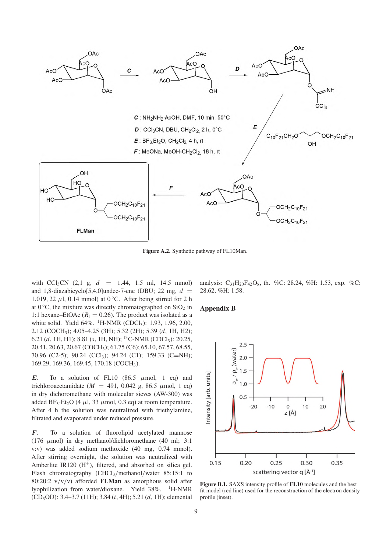<span id="page-8-0"></span>

Figure A.2. Synthetic pathway of FL10Man.

with CCl3CN (2,1 g, *d* = 1.44, 1.5 ml, 14.5 mmol) and 1,8-diazabicyclo<sup>[5,4,0]undec-7-ene (DBU; 22 mg,  $d =$ </sup> 1.019, 22  $\mu$ l, 0.14 mmol) at 0 °C. After being stirred for 2 h at  $0^{\circ}$ C, the mixture was directly chromatographed on SiO<sub>2</sub> in 1:1 hexane–EtOAc ( $R_f = 0.26$ ). The product was isolated as a white solid. Yield 64%. <sup>1</sup>H-NMR (CDCl<sub>3</sub>): 1.93, 1.96, 2.00, 2.12 (COCH3); 4.05–4.25 (3H); 5.32 (2H); 5.39 (*d*, 1H, H2); 6.21 (*d*, 1H, H1); 8.81 (*s*, 1H, NH); <sup>13</sup>C-NMR (CDCl<sub>3</sub>): 20.25, 20.41, 20.63, 20.67 (COCH3); 61.75 (C6); 65.10, 67.57, 68.55, 70.96 (C2-5); 90.24 (CCl<sub>3</sub>); 94.24 (C1); 159.33 (C=NH); 169.29, 169.36, 169.45, 170.18 (COCH3).

 $E$ . To a solution of FL10 (86.5  $\mu$ mol, 1 eq) and trichloroacetamidate ( $M = 491, 0.042$  g, 86.5  $\mu$ mol, 1 eq) in dry dichoromethane with molecular sieves (AW-300) was added BF<sub>3</sub>·Et<sub>2</sub>O (4  $\mu$ l, 33  $\mu$ mol, 0.3 eq) at room temperature. After 4 h the solution was neutralized with triethylamine, filtrated and evaporated under reduced pressure.

*F*. To a solution of fluorolipid acetylated mannose (176  $\mu$ mol) in dry methanol/dichloromethane (40 ml; 3:1) v:v) was added sodium methoxide (40 mg, 0.74 mmol). After stirring overnight, the solution was neutralized with Amberlite IR120  $(H<sup>+</sup>)$ , filtered, and absorbed on silica gel. Flash chromatography (CHCl3/methanol/water 85:15:1 to 80:20:2  $v/v/v$  afforded FLMan as amorphous solid after lyophilization from water/dioxane. Yield 38%.  ${}^{1}$ H-NMR (CD3OD): 3.4–3.7 (11H); 3.84 (*t*, 4H); 5.21 (*d*, 1H); elemental

analysis:  $C_{31}H_{20}F_{42}O_8$ , th. %C: 28.24, %H: 1.53, exp. %C: 28.62, %H: 1.58.

## Appendix B



Figure B.1. SAXS intensity profile of FL10 molecules and the best fit model (red line) used for the reconstruction of the electron density profile (inset).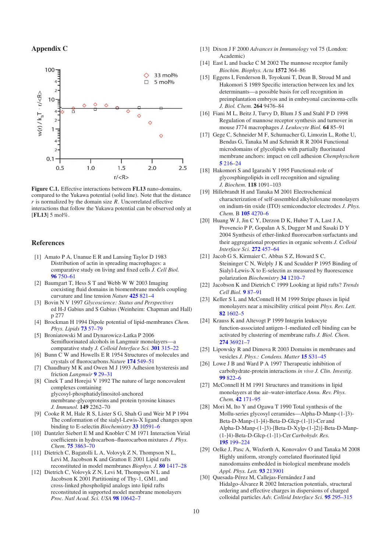## Appendix C



<span id="page-9-29"></span>Figure C.1. Effective interactions between FL13 nano-domains, compared to the Yukawa potential (solid line). Note that the distance *r* is normalized by the domain size *R*. Uncorrelated effective interactions that follow the Yukawa potential can be observed only at [FL13] 5 mol%.

## <span id="page-9-10"></span>References

- <span id="page-9-1"></span>[1] Amato P A, Unanue E R and Lansing Taylor D 1983 Distribution of actin in spreading macrophages: a comparative study on living and fixed cells *J. Cell Biol.* 96 [750–61](http://dx.doi.org/10.1083/jcb.96.3.750)
- <span id="page-9-26"></span><span id="page-9-25"></span>[2] Baumgart T, Hess S T and Webb W W 2003 Imaging coexisting fluid domains in biomembrane models coupling curvature and line tension *Nature* 425 [821–4](http://dx.doi.org/10.1038/nature02013)
- <span id="page-9-24"></span>[3] Bovin N V 1997 *Glycoscience: Status and Perspectives* ed H-J Gabius and S Gabius (Weinheim: Chapman and Hall) p 277
- <span id="page-9-22"></span>[4] Brockman H 1994 Dipole potential of lipid-membranes *Chem. Phys. Lipids* 73 [57–79](http://dx.doi.org/10.1016/0009-3084(94)90174-0)
- <span id="page-9-2"></span>[5] Broniatowski M and Dynarowicz-Latka P 2006 Semifluorinated alcohols in Langmuir monolayers—a comparative study *J. Colloid Interface Sci.* 301 [315–22](http://dx.doi.org/10.1016/j.jcis.2006.05.007)
- [6] Bunn C W and Howells E R 1954 Structures of molecules and crystals of fluorocarbons *Nature* 174 [549–51](http://dx.doi.org/10.1038/174549a0)
- <span id="page-9-7"></span>[7] Chaudhury M K and Owen M J 1993 Adhesion hysteresis and friction *Langmuir* 9 [29–31](http://dx.doi.org/10.1021/la00025a009)
- <span id="page-9-27"></span>[8] Cinek T and Horejsi V 1992 The nature of large noncovalent complexes containing glycosyl-phosphatidylinositol-anchored membrane-glycoproteins and protein tyrosine kinases *J. Immunol.* 149 2262–70
- <span id="page-9-11"></span>[9] Cooke R M, Hale R S, Lister S G, Shah G and Weir M P 1994 The conformation of the sialyl-Lewis-X ligand changes upon binding to E-selectin *Biochemistry* 33 [10591–6](http://dx.doi.org/10.1021/bi00201a004)
- <span id="page-9-12"></span>[10] Dantzler Siebert E M and Knobler C M 1971 Interaction Virial coefficients in hydrocarbon–fluorocarbon mixtures *J. Phys. Chem.* 75 [3863–70](http://dx.doi.org/10.1021/j100694a014)
- [11] Dietrich C, Bagatolli L A, Volovyk Z N, Thompson N L, Levi M, Jacobson K and Gratton E 2001 Lipid rafts reconstituted in model membranes *Biophys. J.* 80 [1417–28](http://dx.doi.org/10.1016/S0006-3495(01)76114-0)
- [12] Dietrich C, Volovyk Z N, Levi M, Thompson N L and Jacobson K 2001 Partitioning of Thy-1, GM1, and cross-linked phospholipid analogs into lipid rafts reconstituted in supported model membrane monolayers *Proc. Natl Acad. Sci. USA* 98 [10642–7](http://dx.doi.org/10.1073/pnas.191168698)
- <span id="page-9-16"></span><span id="page-9-15"></span><span id="page-9-3"></span>[13] Dixon J F 2000 *Advances in Immunology* vol 75 (London: Academic)
- <span id="page-9-17"></span>[14] East L and Isacke C M 2002 The mannose receptor family *Biochim. Biophys. Acta* 1572 364–86
- <span id="page-9-8"></span>[15] Eggens I, Fenderson B, Toyokuni T, Dean B, Stroud M and Hakomori S 1989 Specific interaction between lex and lex determinants—a possible basis for cell recognition in preimplantation embryos and in embryonal carcinoma-cells *J. Biol. Chem.* 264 9476–84
- <span id="page-9-4"></span>[16] Fiani M L, Beitz J, Turvy D, Blum J S and Stahl P D 1998 Regulation of mannose receptor synthesis and turnover in mouse J774 macrophages *J. Leukocyte Biol.* 64 85–91
- <span id="page-9-20"></span>[17] Gege C, Schneider M F, Schumacher G, Limozin L, Rothe U, Bendas G, Tanaka M and Schmidt R R 2004 Functional microdomains of glycolipids with partially fluorinated membrane anchors: impact on cell adhesion *Chemphyschem* 5 [216–24](http://dx.doi.org/10.1002/cphc.200300947)
- <span id="page-9-18"></span>[18] Hakomori S and Igarashi Y 1995 Functional-role of glycosphingolipids in cell recognition and signaling *J. Biochem.* 118 1091–103
- [19] Hillebrandt H and Tanaka M 2001 Electrochemical characterization of self-assembled alkylsiloxane monolayers on indium-tin oxide (ITO) semiconductor electrodes *J. Phys. Chem.* B 105 [4270–6](http://dx.doi.org/10.1021/jp004062n)
- <span id="page-9-9"></span><span id="page-9-0"></span>[20] Huang W J, Jin C Y, Derzon D K, Huber T A, Last J A, Provencio P P, Gopalan A S, Dugger M and Sasaki D Y 2004 Synthesis of ether-linked fluorocarbon surfactants and their aggregational properties in organic solvents *J. Colloid Interface Sci.* 272 [457–64](http://dx.doi.org/10.1016/j.jcis.2003.11.038)
- <span id="page-9-13"></span>[21] Jacob G S, Kirmaier C, Abbas S Z, Howard S C, Steininger C N, Welply J K and Scudder P 1995 Binding of Sialyl-Lewis-X to E-selectin as measured by fluorescence polarization *Biochemistry* 34 [1210–7](http://dx.doi.org/10.1021/bi00004a014)
- <span id="page-9-5"></span>[22] Jacobson K and Dietrich C 1999 Looking at lipid rafts? *Trends Cell Biol.* 9 [87–91](http://dx.doi.org/10.1016/S0962-8924(98)01495-0)
- <span id="page-9-23"></span>[23] Keller S L and McConnell H M 1999 Stripe phases in lipid monolayers near a miscibility critical point *Phys. Rev. Lett.* 82 [1602–5](http://dx.doi.org/10.1103/PhysRevLett.82.1602)
- <span id="page-9-6"></span>[24] Krauss K and Altevogt P 1999 Integrin leukocyte function-associated antigen-1-mediated cell binding can be activated by clustering of membrane rafts *J. Biol. Chem.* 274 [36921–7](http://dx.doi.org/10.1074/jbc.274.52.36921)
- <span id="page-9-21"></span>[25] Lipowsky R and Dimova R 2003 Domains in membranes and vesicles *J. Phys.: Condens. Matter* 15 [S31–45](http://dx.doi.org/10.1088/0953-8984/15/1/304)
- <span id="page-9-19"></span>[26] Lowe J B and Ward P A 1997 Therapeutic inhibition of carbohydrate-protein interactions *in vivo J. Clin. Investig.* 99 [822–6](http://dx.doi.org/10.1172/JCI119244)
- [27] McConnell H M 1991 Structures and transitions in lipid monolayers at the air–water-interface *Annu. Rev. Phys. Chem.* 42 [171–95](http://dx.doi.org/10.1146/annurev.pc.42.100191.001131)
- <span id="page-9-14"></span>[28] Mori M, Ito Y and Ogawa T 1990 Total synthesis of the Mollu-series glycosyl ceramides—Alpha-D-Manp-(1-]3)- Beta-D-Manp-(1-]4)-Beta-D-Glcp-(1-]1)-Cer and Alpha-D-Manp-(1-]3)-[Beta-D-Xylp-(1-]2)]-Beta-D-Manp- (1-]4)-Beta-D-Glcp-(1-]1)-Cer*Carbohydr. Res.* 195 [199–224](http://dx.doi.org/10.1016/0008-6215(90)84167-S)
- <span id="page-9-28"></span>[29] Oelke J, Pasc A, Wixforth A, Konovalov O and Tanaka M 2008 Highly uniform, strongly correlated fluorinated lipid nanodomains embedded in biological membrane models *Appl. Phys. Lett.* 93 [213901](http://dx.doi.org/10.1063/1.3028088)
- [30] Quesada-Pérez M, Callejas-Fernández J and Hidalgo-Álvarez R 2002 Interaction potentials, structural ordering and effective charges in dispersions of charged colloidal particles *Adv. Colloid Interface Sci.* 95 [295–315](http://dx.doi.org/10.1016/S0001-8686(01)00065-3)